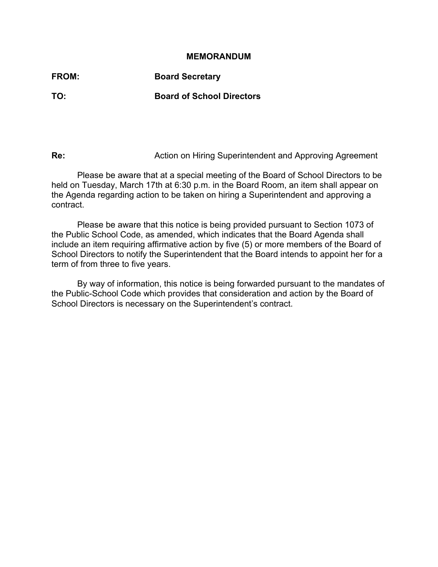#### **MEMORANDUM**

**FROM: Board Secretary TO: Board of School Directors** 

**Re: Re: Action on Hiring Superintendent and Approving Agreement** 

 Please be aware that at a special meeting of the Board of School Directors to be held on Tuesday, March 17th at 6:30 p.m. in the Board Room, an item shall appear on the Agenda regarding action to be taken on hiring a Superintendent and approving a contract.

 Please be aware that this notice is being provided pursuant to Section 1073 of the Public School Code, as amended, which indicates that the Board Agenda shall include an item requiring affirmative action by five (5) or more members of the Board of School Directors to notify the Superintendent that the Board intends to appoint her for a term of from three to five years.

 By way of information, this notice is being forwarded pursuant to the mandates of the Public-School Code which provides that consideration and action by the Board of School Directors is necessary on the Superintendent's contract.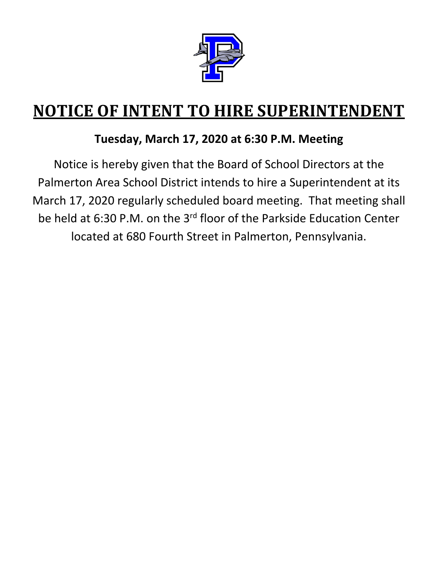

# **NOTICE OF INTENT TO HIRE SUPERINTENDENT**

## **Tuesday, March 17, 2020 at 6:30 P.M. Meeting**

Notice is hereby given that the Board of School Directors at the Palmerton Area School District intends to hire a Superintendent at its March 17, 2020 regularly scheduled board meeting. That meeting shall be held at 6:30 P.M. on the 3rd floor of the Parkside Education Center located at 680 Fourth Street in Palmerton, Pennsylvania.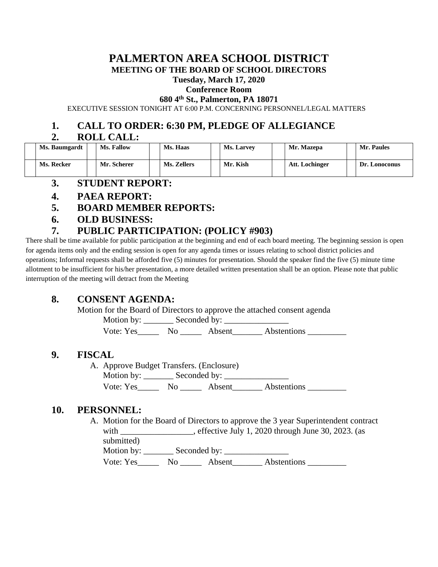# **PALMERTON AREA SCHOOL DISTRICT**

#### **MEETING OF THE BOARD OF SCHOOL DIRECTORS**

**Tuesday, March 17, 2020**

### **Conference Room**

**680 4th St., Palmerton, PA 18071**

EXECUTIVE SESSION TONIGHT AT 6:00 P.M. CONCERNING PERSONNEL/LEGAL MATTERS

#### **1. CALL TO ORDER: 6:30 PM, PLEDGE OF ALLEGIANCE**

#### **2. ROLL CALL:**

| Ms. Baumgardt | <b>Ms. Fallow</b> | Ms. Haas    | <b>Ms. Larvey</b> | Mr. Mazepa     | <b>Mr. Paules</b> |
|---------------|-------------------|-------------|-------------------|----------------|-------------------|
| Ms. Recker    | Mr. Scherer       | Ms. Zellers | Mr. Kish          | Att. Lochinger | Dr. Lonoconus     |

- **3. STUDENT REPORT:**
- **4. PAEA REPORT:**
- **5. BOARD MEMBER REPORTS:**
- **6. OLD BUSINESS:**

#### **7. PUBLIC PARTICIPATION: (POLICY #903)**

There shall be time available for public participation at the beginning and end of each board meeting. The beginning session is open for agenda items only and the ending session is open for any agenda times or issues relating to school district policies and operations; Informal requests shall be afforded five (5) minutes for presentation. Should the speaker find the five (5) minute time allotment to be insufficient for his/her presentation, a more detailed written presentation shall be an option. Please note that public interruption of the meeting will detract from the Meeting

#### **8. CONSENT AGENDA:**

Motion for the Board of Directors to approve the attached consent agenda

Motion by: \_\_\_\_\_\_\_ Seconded by: \_\_\_\_\_\_\_\_\_\_\_\_\_\_\_

Vote: Yes Mo Absent Abstentions

#### **9. FISCAL**

A. Approve Budget Transfers. (Enclosure) Motion by: \_\_\_\_\_\_\_ Seconded by: \_\_\_\_\_\_\_\_\_\_\_\_\_\_\_ Vote: Yes\_\_\_\_\_\_\_\_ No \_\_\_\_\_\_\_\_ Absent\_\_\_\_\_\_\_\_\_ Abstentions \_\_\_\_\_\_\_\_

#### **10. PERSONNEL:**

A. Motion for the Board of Directors to approve the 3 year Superintendent contract with \_\_\_\_\_\_\_\_\_\_\_\_\_\_\_, effective July 1, 2020 through June 30, 2023. (as submitted)

Motion by: Seconded by:

Vote: Yes\_\_\_\_\_\_\_\_ No \_\_\_\_\_\_\_\_ Absent\_\_\_\_\_\_\_\_\_ Abstentions \_\_\_\_\_\_\_\_\_\_\_\_\_\_\_\_\_\_\_\_\_\_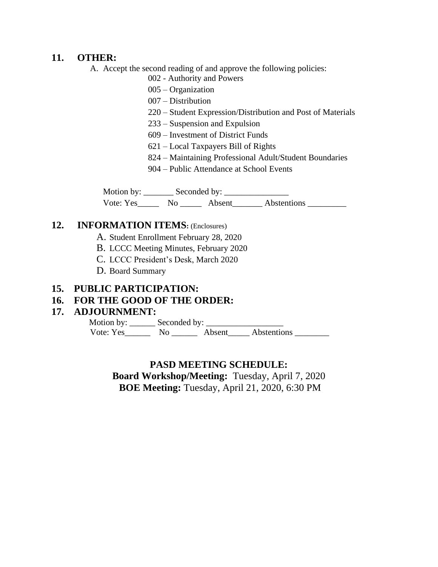#### **11. OTHER:**

A. Accept the second reading of and approve the following policies:

- 002 Authority and Powers
- 005 Organization
- 007 Distribution
- 220 Student Expression/Distribution and Post of Materials
- 233 Suspension and Expulsion
- 609 Investment of District Funds
- 621 Local Taxpayers Bill of Rights
- 824 Maintaining Professional Adult/Student Boundaries
- 904 Public Attendance at School Events

Motion by: \_\_\_\_\_\_\_ Seconded by: \_\_\_\_\_\_\_\_\_\_\_\_\_\_\_ Vote: Yes\_\_\_\_\_\_\_ No \_\_\_\_\_\_\_ Absent\_\_\_\_\_\_\_\_ Abstentions \_\_\_\_\_\_\_\_\_\_\_

#### **12. INFORMATION ITEMS:** (Enclosures)

- A. Student Enrollment February 28, 2020
- B. LCCC Meeting Minutes, February 2020
- C. LCCC President's Desk, March 2020
- D. Board Summary

#### **15. PUBLIC PARTICIPATION:**

#### **16. FOR THE GOOD OF THE ORDER:**

#### **17. ADJOURNMENT:**

 Motion by: \_\_\_\_\_\_ Seconded by: \_\_\_\_\_\_\_\_\_\_\_\_\_\_\_\_\_\_ Vote: Yes\_\_\_\_\_\_\_\_ No \_\_\_\_\_\_\_ Absent\_\_\_\_\_ Abstentions \_\_\_\_\_\_\_\_\_

#### **PASD MEETING SCHEDULE:**

**Board Workshop/Meeting:** Tuesday, April 7, 2020 **BOE Meeting:** Tuesday, April 21, 2020, 6:30 PM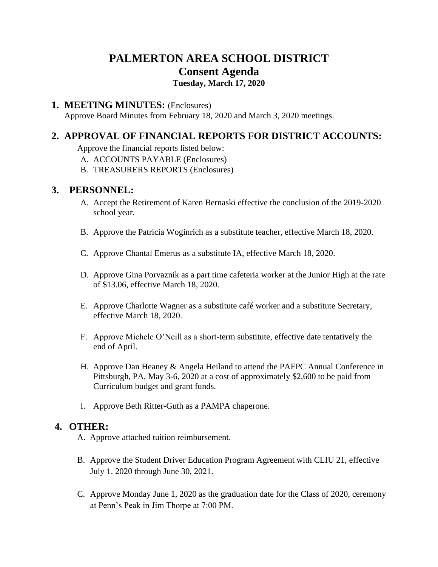### **PALMERTON AREA SCHOOL DISTRICT Consent Agenda**

**Tuesday, March 17, 2020**

#### **1. MEETING MINUTES:** (Enclosures)

Approve Board Minutes from February 18, 2020 and March 3, 2020 meetings.

#### **2. APPROVAL OF FINANCIAL REPORTS FOR DISTRICT ACCOUNTS:**

Approve the financial reports listed below:

- A. ACCOUNTS PAYABLE (Enclosures)
- B. TREASURERS REPORTS (Enclosures)

#### **3. PERSONNEL:**

- A. Accept the Retirement of Karen Bernaski effective the conclusion of the 2019-2020 school year.
- B. Approve the Patricia Woginrich as a substitute teacher, effective March 18, 2020.
- C. Approve Chantal Emerus as a substitute IA, effective March 18, 2020.
- D. Approve Gina Porvaznik as a part time cafeteria worker at the Junior High at the rate of \$13.06, effective March 18, 2020.
- E. Approve Charlotte Wagner as a substitute café worker and a substitute Secretary, effective March 18, 2020.
- F. Approve Michele O'Neill as a short-term substitute, effective date tentatively the end of April.
- H. Approve Dan Heaney & Angela Heiland to attend the PAFPC Annual Conference in Pittsburgh, PA, May 3-6, 2020 at a cost of approximately \$2,600 to be paid from Curriculum budget and grant funds.
- I. Approve Beth Ritter-Guth as a PAMPA chaperone.

#### **4. OTHER:**

- A. Approve attached tuition reimbursement.
- B. Approve the Student Driver Education Program Agreement with CLIU 21, effective July 1. 2020 through June 30, 2021.
- C. Approve Monday June 1, 2020 as the graduation date for the Class of 2020, ceremony at Penn's Peak in Jim Thorpe at 7:00 PM.